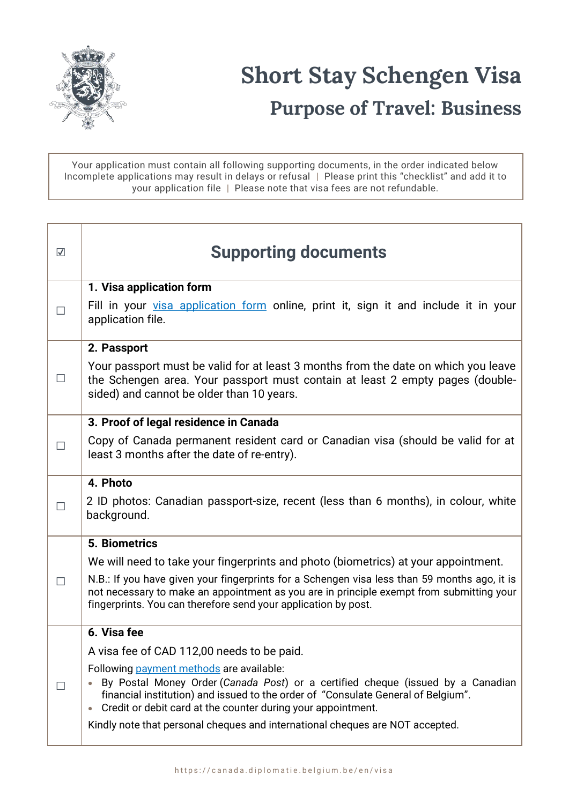

Your application must contain all following supporting documents, in the order indicated below Incomplete applications may result in delays or refusal | Please print this "checklist" and add it to your application file | Please note that visa fees are not refundable.

| $\overline{\mathsf{v}}$ | <b>Supporting documents</b>                                                                                                                                                                                                                                                                                                                                                    |
|-------------------------|--------------------------------------------------------------------------------------------------------------------------------------------------------------------------------------------------------------------------------------------------------------------------------------------------------------------------------------------------------------------------------|
|                         | 1. Visa application form                                                                                                                                                                                                                                                                                                                                                       |
|                         | Fill in your visa application form online, print it, sign it and include it in your<br>application file.                                                                                                                                                                                                                                                                       |
|                         | 2. Passport                                                                                                                                                                                                                                                                                                                                                                    |
| $\Box$                  | Your passport must be valid for at least 3 months from the date on which you leave<br>the Schengen area. Your passport must contain at least 2 empty pages (double-<br>sided) and cannot be older than 10 years.                                                                                                                                                               |
|                         | 3. Proof of legal residence in Canada                                                                                                                                                                                                                                                                                                                                          |
| П                       | Copy of Canada permanent resident card or Canadian visa (should be valid for at<br>least 3 months after the date of re-entry).                                                                                                                                                                                                                                                 |
|                         | 4. Photo                                                                                                                                                                                                                                                                                                                                                                       |
| $\perp$                 | 2 ID photos: Canadian passport-size, recent (less than 6 months), in colour, white<br>background.                                                                                                                                                                                                                                                                              |
|                         | <b>5. Biometrics</b>                                                                                                                                                                                                                                                                                                                                                           |
| $\Box$                  | We will need to take your fingerprints and photo (biometrics) at your appointment.                                                                                                                                                                                                                                                                                             |
|                         | N.B.: If you have given your fingerprints for a Schengen visa less than 59 months ago, it is<br>not necessary to make an appointment as you are in principle exempt from submitting your<br>fingerprints. You can therefore send your application by post.                                                                                                                     |
|                         | 6. Visa fee                                                                                                                                                                                                                                                                                                                                                                    |
| $\mathsf{L}$            | A visa fee of CAD 112,00 needs to be paid.                                                                                                                                                                                                                                                                                                                                     |
|                         | Following payment methods are available:<br>By Postal Money Order (Canada Post) or a certified cheque (issued by a Canadian<br>financial institution) and issued to the order of "Consulate General of Belgium".<br>Credit or debit card at the counter during your appointment.<br>$\bullet$<br>Kindly note that personal cheques and international cheques are NOT accepted. |
|                         |                                                                                                                                                                                                                                                                                                                                                                                |